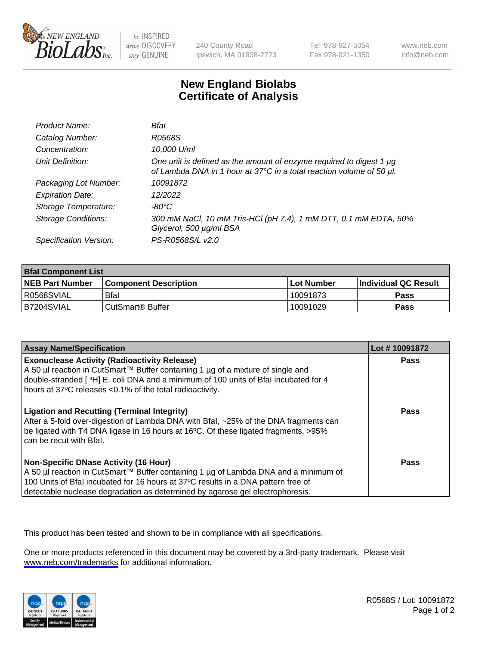

be INSPIRED drive DISCOVERY stay GENUINE

240 County Road Ipswich, MA 01938-2723 Tel 978-927-5054 Fax 978-921-1350

www.neb.com info@neb.com

## **New England Biolabs Certificate of Analysis**

| Product Name:              | Bfal                                                                                                                                             |
|----------------------------|--------------------------------------------------------------------------------------------------------------------------------------------------|
| Catalog Number:            | R0568S                                                                                                                                           |
| Concentration:             | 10,000 U/ml                                                                                                                                      |
| Unit Definition:           | One unit is defined as the amount of enzyme required to digest 1 $\mu$ g<br>of Lambda DNA in 1 hour at 37°C in a total reaction volume of 50 µl. |
| Packaging Lot Number:      | 10091872                                                                                                                                         |
| <b>Expiration Date:</b>    | 12/2022                                                                                                                                          |
| Storage Temperature:       | $-80^{\circ}$ C                                                                                                                                  |
| <b>Storage Conditions:</b> | 300 mM NaCl, 10 mM Tris-HCl (pH 7.4), 1 mM DTT, 0.1 mM EDTA, 50%<br>Glycerol, 500 µg/ml BSA                                                      |
| Specification Version:     | PS-R0568S/L v2.0                                                                                                                                 |

| <b>Bfal Component List</b> |                              |             |                             |  |
|----------------------------|------------------------------|-------------|-----------------------------|--|
| <b>NEB Part Number</b>     | <b>Component Description</b> | ⊺Lot Number | <b>Individual QC Result</b> |  |
| I R0568SVIAL               | <b>Bfal</b>                  | 10091873    | Pass                        |  |
| B7204SVIAL                 | l CutSmart® Buffer           | 10091029    | Pass                        |  |

| <b>Assay Name/Specification</b>                                                                                                                                                                                                                                                                           | Lot #10091872 |
|-----------------------------------------------------------------------------------------------------------------------------------------------------------------------------------------------------------------------------------------------------------------------------------------------------------|---------------|
| <b>Exonuclease Activity (Radioactivity Release)</b><br>A 50 µl reaction in CutSmart™ Buffer containing 1 µg of a mixture of single and<br>double-stranded [3H] E. coli DNA and a minimum of 100 units of Bfal incubated for 4<br>hours at 37°C releases <0.1% of the total radioactivity.                 | Pass          |
| <b>Ligation and Recutting (Terminal Integrity)</b><br>After a 5-fold over-digestion of Lambda DNA with Bfal, ~25% of the DNA fragments can<br>be ligated with T4 DNA ligase in 16 hours at 16°C. Of these ligated fragments, >95%<br>can be recut with Bfal.                                              | Pass          |
| <b>Non-Specific DNase Activity (16 Hour)</b><br>A 50 µl reaction in CutSmart™ Buffer containing 1 µg of Lambda DNA and a minimum of<br>100 Units of Bfal incubated for 16 hours at 37°C results in a DNA pattern free of<br>detectable nuclease degradation as determined by agarose gel electrophoresis. | Pass          |

This product has been tested and shown to be in compliance with all specifications.

One or more products referenced in this document may be covered by a 3rd-party trademark. Please visit <www.neb.com/trademarks>for additional information.